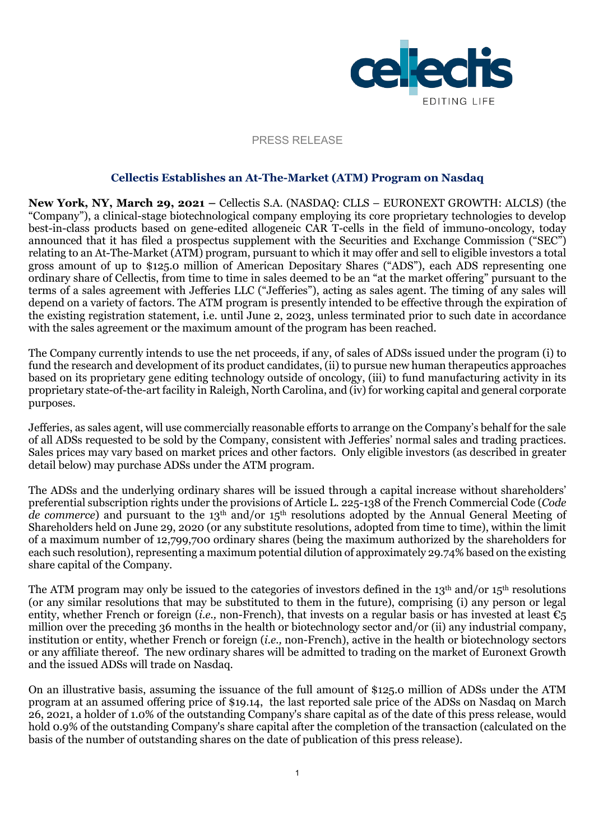

#### PRESS RELEASE

#### **Cellectis Establishes an At-The-Market (ATM) Program on Nasdaq**

**New York, NY, March 29, 2021 –** Cellectis S.A. (NASDAQ: CLLS – EURONEXT GROWTH: ALCLS) (the "Company"), a clinical-stage biotechnological company employing its core proprietary technologies to develop best-in-class products based on gene-edited allogeneic CAR T-cells in the field of immuno-oncology, today announced that it has filed a prospectus supplement with the Securities and Exchange Commission ("SEC") relating to an At-The-Market (ATM) program, pursuant to which it may offer and sell to eligible investors a total gross amount of up to \$125.0 million of American Depositary Shares ("ADS"), each ADS representing one ordinary share of Cellectis, from time to time in sales deemed to be an "at the market offering" pursuant to the terms of a sales agreement with Jefferies LLC ("Jefferies"), acting as sales agent. The timing of any sales will depend on a variety of factors. The ATM program is presently intended to be effective through the expiration of the existing registration statement, i.e. until June 2, 2023, unless terminated prior to such date in accordance with the sales agreement or the maximum amount of the program has been reached.

The Company currently intends to use the net proceeds, if any, of sales of ADSs issued under the program (i) to fund the research and development of its product candidates, (ii) to pursue new human therapeutics approaches based on its proprietary gene editing technology outside of oncology, (iii) to fund manufacturing activity in its proprietary state-of-the-art facility in Raleigh, North Carolina, and (iv) for working capital and general corporate purposes.

Jefferies, as sales agent, will use commercially reasonable efforts to arrange on the Company's behalf for the sale of all ADSs requested to be sold by the Company, consistent with Jefferies' normal sales and trading practices. Sales prices may vary based on market prices and other factors. Only eligible investors (as described in greater detail below) may purchase ADSs under the ATM program.

The ADSs and the underlying ordinary shares will be issued through a capital increase without shareholders' preferential subscription rights under the provisions of Article L. 225-138 of the French Commercial Code (*Code de commerce*) and pursuant to the 13<sup>th</sup> and/or 15<sup>th</sup> resolutions adopted by the Annual General Meeting of Shareholders held on June 29, 2020 (or any substitute resolutions, adopted from time to time), within the limit of a maximum number of 12,799,700 ordinary shares (being the maximum authorized by the shareholders for each such resolution), representing a maximum potential dilution of approximately 29.74% based on the existing share capital of the Company.

The ATM program may only be issued to the categories of investors defined in the 13<sup>th</sup> and/or 15<sup>th</sup> resolutions (or any similar resolutions that may be substituted to them in the future), comprising (i) any person or legal entity, whether French or foreign (*i.e.*, non-French), that invests on a regular basis or has invested at least  $\epsilon_5$ million over the preceding 36 months in the health or biotechnology sector and/or (ii) any industrial company, institution or entity, whether French or foreign (*i.e.,* non-French), active in the health or biotechnology sectors or any affiliate thereof. The new ordinary shares will be admitted to trading on the market of Euronext Growth and the issued ADSs will trade on Nasdaq.

On an illustrative basis, assuming the issuance of the full amount of \$125.0 million of ADSs under the ATM program at an assumed offering price of \$19.14, the last reported sale price of the ADSs on Nasdaq on March 26, 2021, a holder of 1.0% of the outstanding Company's share capital as of the date of this press release, would hold 0.9% of the outstanding Company's share capital after the completion of the transaction (calculated on the basis of the number of outstanding shares on the date of publication of this press release).